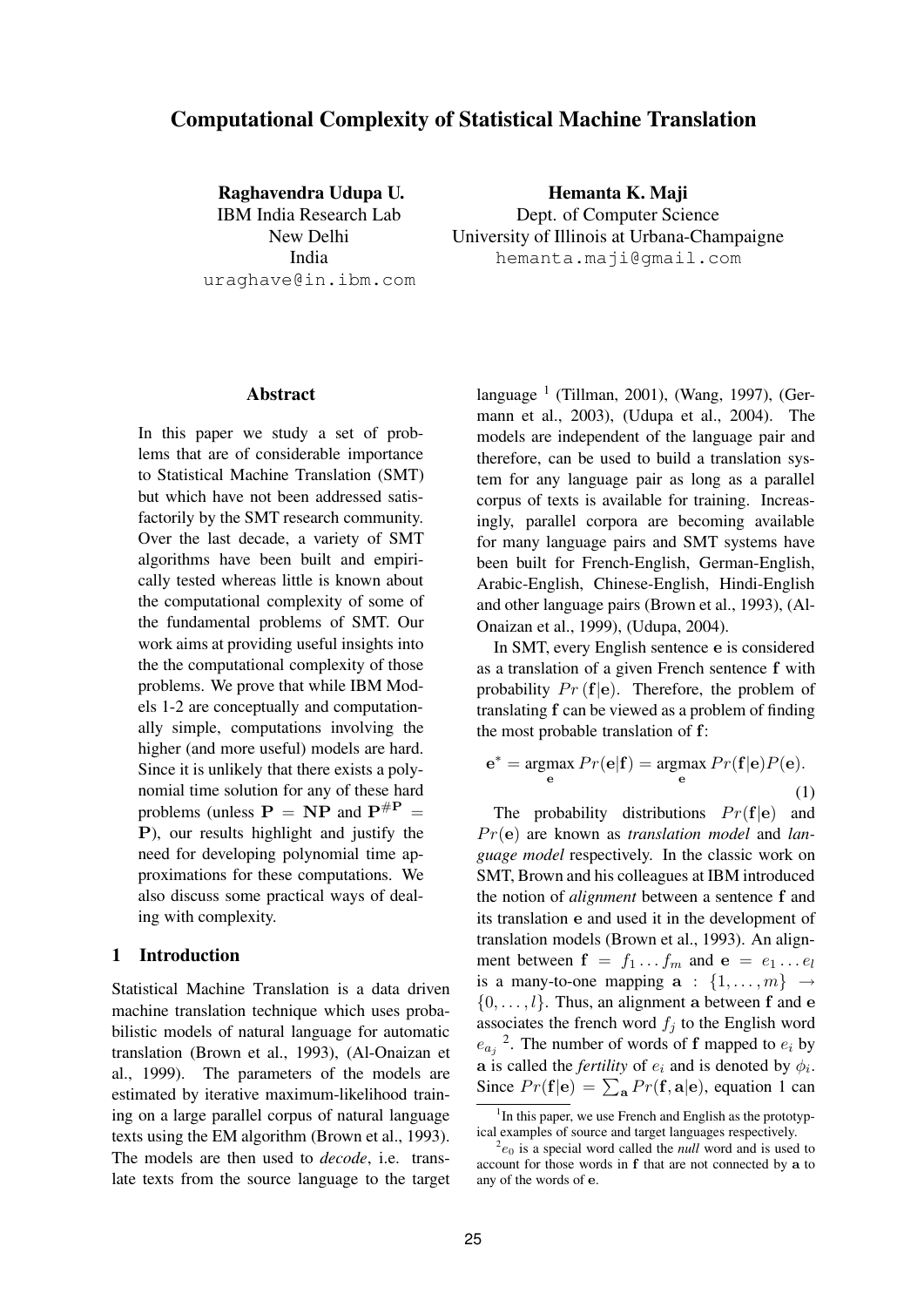# **Computational Complexity of Statistical Machine Translation**

**Raghavendra Udupa U.** IBM India Research Lab New Delhi India uraghave@in.ibm.com

**Hemanta K. Maji** Dept. of Computer Science University of Illinois at Urbana-Champaigne hemanta.maji@gmail.com

#### **Abstract**

In this paper we study a set of problems that are of considerable importance to Statistical Machine Translation (SMT) but which have not been addressed satisfactorily by the SMT research community. Over the last decade, a variety of SMT algorithms have been built and empirically tested whereas little is known about the computational complexity of some of the fundamental problems of SMT. Our work aims at providing useful insights into the the computational complexity of those problems. We prove that while IBM Models 1-2 are conceptually and computationally simple, computations involving the higher (and more useful) models are hard. Since it is unlikely that there exists a polynomial time solution for any of these hard problems (unless  $P = NP$  and  $P^{\#P} =$ P), our results highlight and justify the need for developing polynomial time approximations for these computations. We also discuss some practical ways of dealing with complexity.

## **1 Introduction**

Statistical Machine Translation is a data driven machine translation technique which uses probabilistic models of natural language for automatic translation (Brown et al., 1993), (Al-Onaizan et al., 1999). The parameters of the models are estimated by iterative maximum-likelihood training on a large parallel corpus of natural language texts using the EM algorithm (Brown et al., 1993). The models are then used to *decode*, i.e. translate texts from the source language to the target

language <sup>1</sup> (Tillman, 2001), (Wang, 1997), (Germann et al., 2003), (Udupa et al., 2004). The models are independent of the language pair and therefore, can be used to build a translation system for any language pair as long as a parallel corpus of texts is available for training. Increasingly, parallel corpora are becoming available for many language pairs and SMT systems have been built for French-English, German-English, Arabic-English, Chinese-English, Hindi-English and other language pairs (Brown et al., 1993), (Al-Onaizan et al., 1999), (Udupa, 2004).

In SMT, every English sentence e is considered as a translation of a given French sentence f with probability  $Pr(f|e)$ . Therefore, the problem of translating f can be viewed as a problem of finding the most probable translation of f:

$$
\mathbf{e}^* = \underset{\mathbf{e}}{\operatorname{argmax}} \ Pr(\mathbf{e}|\mathbf{f}) = \underset{\mathbf{e}}{\operatorname{argmax}} \ Pr(\mathbf{f}|\mathbf{e})P(\mathbf{e}).
$$
\n(1)

The probability distributions  $Pr(f|e)$  and Pr(e) are known as *translation model* and *language model* respectively. In the classic work on SMT, Brown and his colleagues at IBM introduced the notion of *alignment* between a sentence f and its translation e and used it in the development of translation models (Brown et al., 1993). An alignment between  $f = f_1 \dots f_m$  and  $e = e_1 \dots e_l$ is a many-to-one mapping  $\mathbf{a}$  :  $\{1, \ldots, m\}$   $\rightarrow$  $\{0, \ldots, l\}$ . Thus, an alignment a between f and e associates the french word  $f_j$  to the English word  $e_{a_j}$ <sup>2</sup>. The number of words of f mapped to  $e_i$  by a is called the *fertility* of  $e_i$  and is denoted by  $\phi_i$ . Since  $Pr(\mathbf{f}|\mathbf{e}) = \sum_{\mathbf{a}} Pr(\mathbf{f}, \mathbf{a}|\mathbf{e})$ , equation 1 can

<sup>&</sup>lt;sup>1</sup>In this paper, we use French and English as the prototypical examples of source and target languages respectively.

 $e_{0}$  is a special word called the *null* word and is used to account for those words in f that are not connected by a to any of the words of e.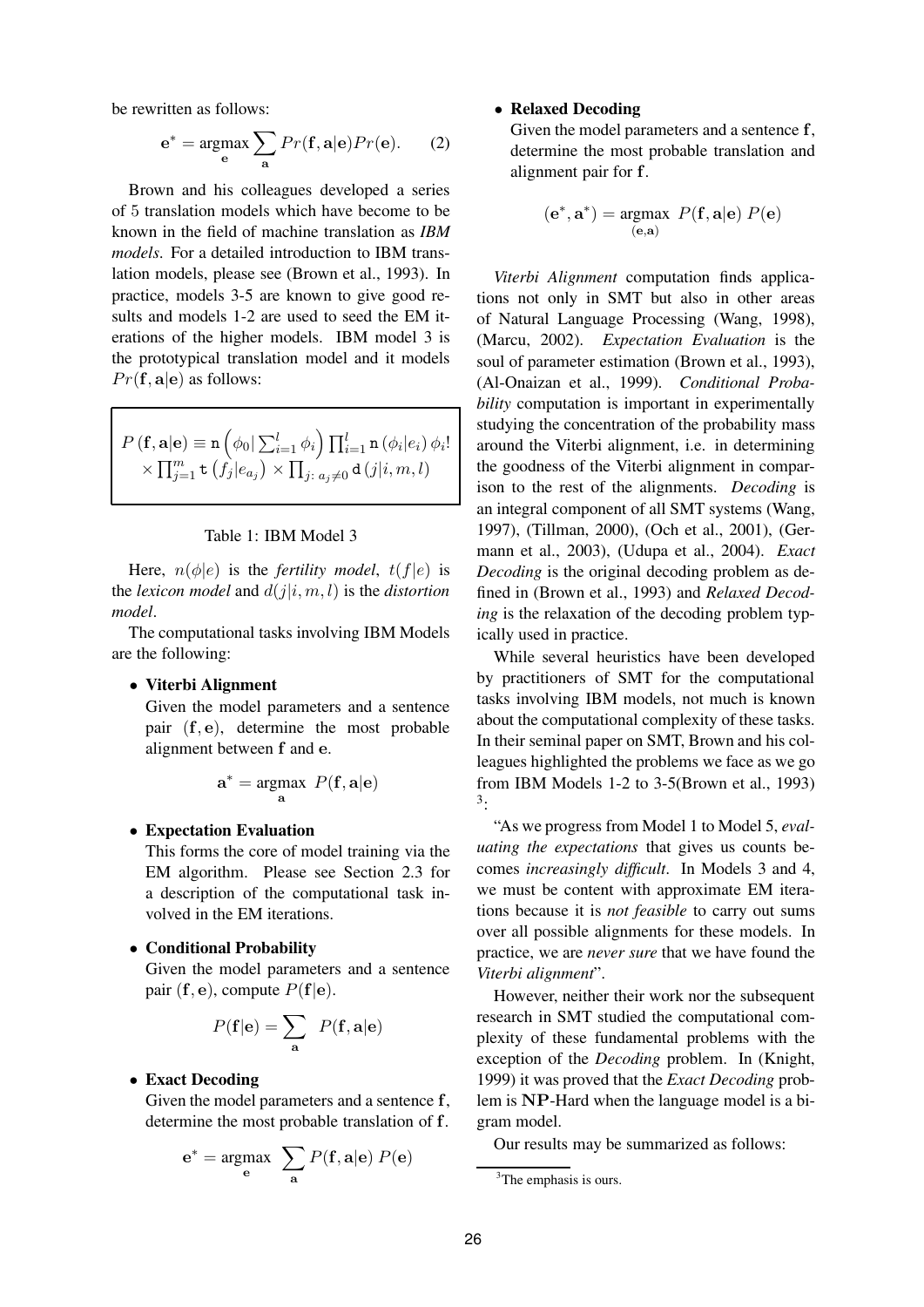be rewritten as follows:

$$
\mathbf{e}^* = \underset{\mathbf{e}}{\text{argmax}} \sum_{\mathbf{a}} Pr(\mathbf{f}, \mathbf{a} | \mathbf{e}) Pr(\mathbf{e}). \tag{2}
$$

Brown and his colleagues developed a series of 5 translation models which have become to be known in the field of machine translation as *IBM models*. For a detailed introduction to IBM translation models, please see (Brown et al., 1993). In practice, models 3-5 are known to give good results and models 1-2 are used to seed the EM iterations of the higher models. IBM model 3 is the prototypical translation model and it models  $Pr(\mathbf{f}, \mathbf{a}|\mathbf{e})$  as follows:

$$
P(\mathbf{f}, \mathbf{a}|\mathbf{e}) \equiv \mathbf{n} \left( \phi_0 | \sum_{i=1}^l \phi_i \right) \prod_{i=1}^l \mathbf{n} \left( \phi_i | e_i \right) \phi_i!
$$
  
 
$$
\times \prod_{j=1}^m \mathbf{t} \left( f_j | e_{a_j} \right) \times \prod_{j: \ a_j \neq 0} \mathbf{d} \left( j | i, m, l \right)
$$

#### Table 1: IBM Model 3

Here,  $n(\phi|e)$  is the *fertility model*,  $t(f|e)$  is the *lexicon model* and  $d(j|i, m, l)$  is the *distortion model*.

The computational tasks involving IBM Models are the following:

#### • **Viterbi Alignment**

Given the model parameters and a sentence pair (f, e), determine the most probable alignment between f and e.

$$
\mathbf{a}^* = \underset{\mathbf{a}}{\operatorname{argmax}} \ P(\mathbf{f}, \mathbf{a} | \mathbf{e})
$$

#### • **Expectation Evaluation**

This forms the core of model training via the EM algorithm. Please see Section 2.3 for a description of the computational task involved in the EM iterations.

#### • **Conditional Probability**

Given the model parameters and a sentence pair  $(f, e)$ , compute  $P(f|e)$ .

$$
P(\mathbf{f}|\mathbf{e}) = \sum_{\mathbf{a}} P(\mathbf{f}, \mathbf{a}|\mathbf{e})
$$

#### • **Exact Decoding**

Given the model parameters and a sentence f, determine the most probable translation of f.

$$
\mathbf{e}^* = \underset{\mathbf{e}}{\text{argmax}} \sum_{\mathbf{a}} P(\mathbf{f}, \mathbf{a} | \mathbf{e}) P(\mathbf{e})
$$

## • **Relaxed Decoding**

Given the model parameters and a sentence f, determine the most probable translation and alignment pair for f.

$$
(\mathbf{e}^*, \mathbf{a}^*) = \underset{(\mathbf{e}, \mathbf{a})}{\text{argmax}} \ P(\mathbf{f}, \mathbf{a}|\mathbf{e}) \ P(\mathbf{e})
$$

*Viterbi Alignment* computation finds applications not only in SMT but also in other areas of Natural Language Processing (Wang, 1998), (Marcu, 2002). *Expectation Evaluation* is the soul of parameter estimation (Brown et al., 1993), (Al-Onaizan et al., 1999). *Conditional Probability* computation is important in experimentally studying the concentration of the probability mass around the Viterbi alignment, i.e. in determining the goodness of the Viterbi alignment in comparison to the rest of the alignments. *Decoding* is an integral component of all SMT systems (Wang, 1997), (Tillman, 2000), (Och et al., 2001), (Germann et al., 2003), (Udupa et al., 2004). *Exact Decoding* is the original decoding problem as defined in (Brown et al., 1993) and *Relaxed Decoding* is the relaxation of the decoding problem typically used in practice.

While several heuristics have been developed by practitioners of SMT for the computational tasks involving IBM models, not much is known about the computational complexity of these tasks. In their seminal paper on SMT, Brown and his colleagues highlighted the problems we face as we go from IBM Models 1-2 to 3-5(Brown et al., 1993) 3 :

"As we progress from Model 1 to Model 5, *evaluating the expectations* that gives us counts becomes *increasingly difficult*. In Models 3 and 4, we must be content with approximate EM iterations because it is *not feasible* to carry out sums over all possible alignments for these models. In practice, we are *never sure* that we have found the *Viterbi alignment*".

However, neither their work nor the subsequent research in SMT studied the computational complexity of these fundamental problems with the exception of the *Decoding* problem. In (Knight, 1999) it was proved that the *Exact Decoding* problem is NP-Hard when the language model is a bigram model.

Our results may be summarized as follows:

<sup>&</sup>lt;sup>3</sup>The emphasis is ours.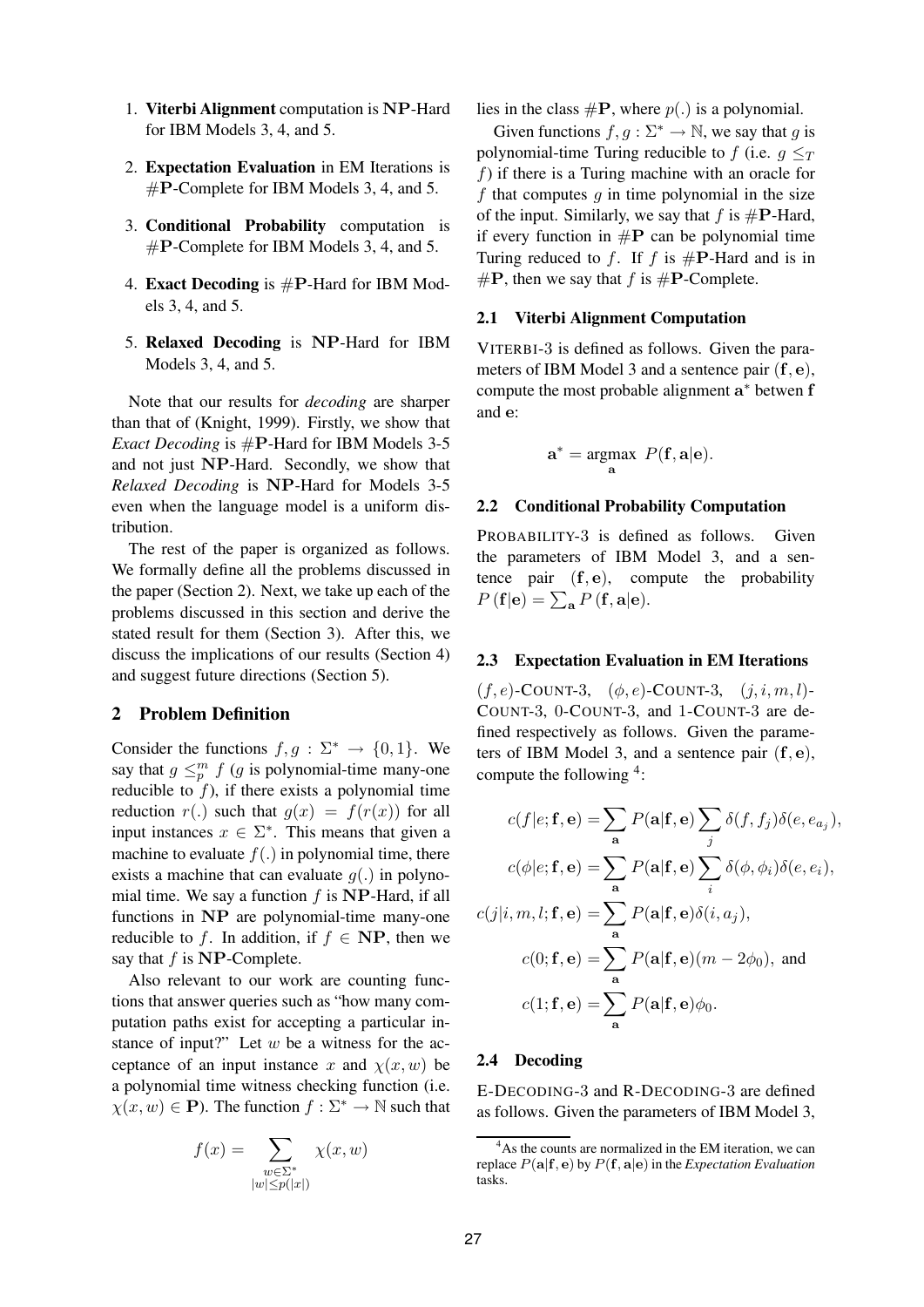- 1. **Viterbi Alignment** computation is NP-Hard for IBM Models 3, 4, and 5.
- 2. **Expectation Evaluation** in EM Iterations is #P-Complete for IBM Models 3, 4, and 5.
- 3. **Conditional Probability** computation is #P-Complete for IBM Models 3, 4, and 5.
- 4. **Exact Decoding** is #P-Hard for IBM Models 3, 4, and 5.
- 5. **Relaxed Decoding** is NP-Hard for IBM Models 3, 4, and 5.

Note that our results for *decoding* are sharper than that of (Knight, 1999). Firstly, we show that *Exact Decoding* is  $\#P$ -Hard for IBM Models 3-5 and not just NP-Hard. Secondly, we show that *Relaxed Decoding* is NP-Hard for Models 3-5 even when the language model is a uniform distribution.

The rest of the paper is organized as follows. We formally define all the problems discussed in the paper (Section 2). Next, we take up each of the problems discussed in this section and derive the stated result for them (Section 3). After this, we discuss the implications of our results (Section 4) and suggest future directions (Section 5).

#### **2 Problem Definition**

Consider the functions  $f, g : \Sigma^* \to \{0, 1\}$ . We say that  $g \leq_p^m f$  (g is polynomial-time many-one reducible to  $f$ ), if there exists a polynomial time reduction  $r(.)$  such that  $g(x) = f(r(x))$  for all input instances  $x \in \Sigma^*$ . This means that given a machine to evaluate  $f(.)$  in polynomial time, there exists a machine that can evaluate  $q(.)$  in polynomial time. We say a function  $f$  is NP-Hard, if all functions in NP are polynomial-time many-one reducible to f. In addition, if  $f \in NP$ , then we say that  $f$  is  $NP$ -Complete.

Also relevant to our work are counting functions that answer queries such as "how many computation paths exist for accepting a particular instance of input?" Let  $w$  be a witness for the acceptance of an input instance x and  $\chi(x, w)$  be a polynomial time witness checking function (i.e.  $\chi(x, w) \in \mathbf{P}$ ). The function  $f : \Sigma^* \to \mathbb{N}$  such that

$$
f(x) = \sum_{\substack{w \in \Sigma^* \\ |w| \le p(|x|)}} \chi(x, w)
$$

lies in the class  $\#P$ , where  $p(.)$  is a polynomial.

Given functions  $f, g : \Sigma^* \to \mathbb{N}$ , we say that g is polynomial-time Turing reducible to f (i.e.  $q \leq_T$  $f$ ) if there is a Turing machine with an oracle for f that computes  $g$  in time polynomial in the size of the input. Similarly, we say that f is  $\#P$ -Hard, if every function in  $\#P$  can be polynomial time Turing reduced to f. If f is  $\#P$ -Hard and is in  $\#P$ , then we say that f is  $\#P$ -Complete.

#### **2.1 Viterbi Alignment Computation**

VITERBI-3 is defined as follows. Given the parameters of IBM Model 3 and a sentence pair  $(f, e)$ , compute the most probable alignment a\* betwen f and e:

$$
\mathbf{a}^* = \underset{\mathbf{a}}{\operatorname{argmax}} \ P(\mathbf{f}, \mathbf{a} | \mathbf{e}).
$$

## **2.2 Conditional Probability Computation**

PROBABILITY-3 is defined as follows. Given the parameters of IBM Model 3, and a sentence pair  $(f, e)$ , compute the probability  $P(\mathbf{f}|\mathbf{e}) = \sum_{\mathbf{a}} P(\mathbf{f}, \mathbf{a}|\mathbf{e}).$ 

#### **2.3 Expectation Evaluation in EM Iterations**

 $(f, e)$ -COUNT-3,  $(\phi, e)$ -COUNT-3,  $(j, i, m, l)$ -COUNT-3, 0-COUNT-3, and 1-COUNT-3 are defined respectively as follows. Given the parameters of IBM Model 3, and a sentence pair  $(f, e)$ , compute the following <sup>4</sup>:

$$
c(f|e; \mathbf{f}, \mathbf{e}) = \sum_{\mathbf{a}} P(\mathbf{a}|\mathbf{f}, \mathbf{e}) \sum_{j} \delta(f, f_j) \delta(e, e_{a_j}),
$$

$$
c(\phi|e; \mathbf{f}, \mathbf{e}) = \sum_{\mathbf{a}} P(\mathbf{a}|\mathbf{f}, \mathbf{e}) \sum_{i} \delta(\phi, \phi_i) \delta(e, e_i),
$$

$$
c(j|i, m, l; \mathbf{f}, \mathbf{e}) = \sum_{\mathbf{a}} P(\mathbf{a}|\mathbf{f}, \mathbf{e}) \delta(i, a_j),
$$

$$
c(0; \mathbf{f}, \mathbf{e}) = \sum_{\mathbf{a}} P(\mathbf{a}|\mathbf{f}, \mathbf{e}) (m - 2\phi_0), \text{ and}
$$

$$
c(1; \mathbf{f}, \mathbf{e}) = \sum_{\mathbf{a}} P(\mathbf{a}|\mathbf{f}, \mathbf{e}) \phi_0.
$$

#### **2.4 Decoding**

E-DECODING-3 and R-DECODING-3 are defined as follows. Given the parameters of IBM Model 3,

<sup>&</sup>lt;sup>4</sup>As the counts are normalized in the EM iteration, we can replace  $P(\mathbf{a}|\mathbf{f}, \mathbf{e})$  by  $P(\mathbf{f}, \mathbf{a}|\mathbf{e})$  in the *Expectation Evaluation* tasks.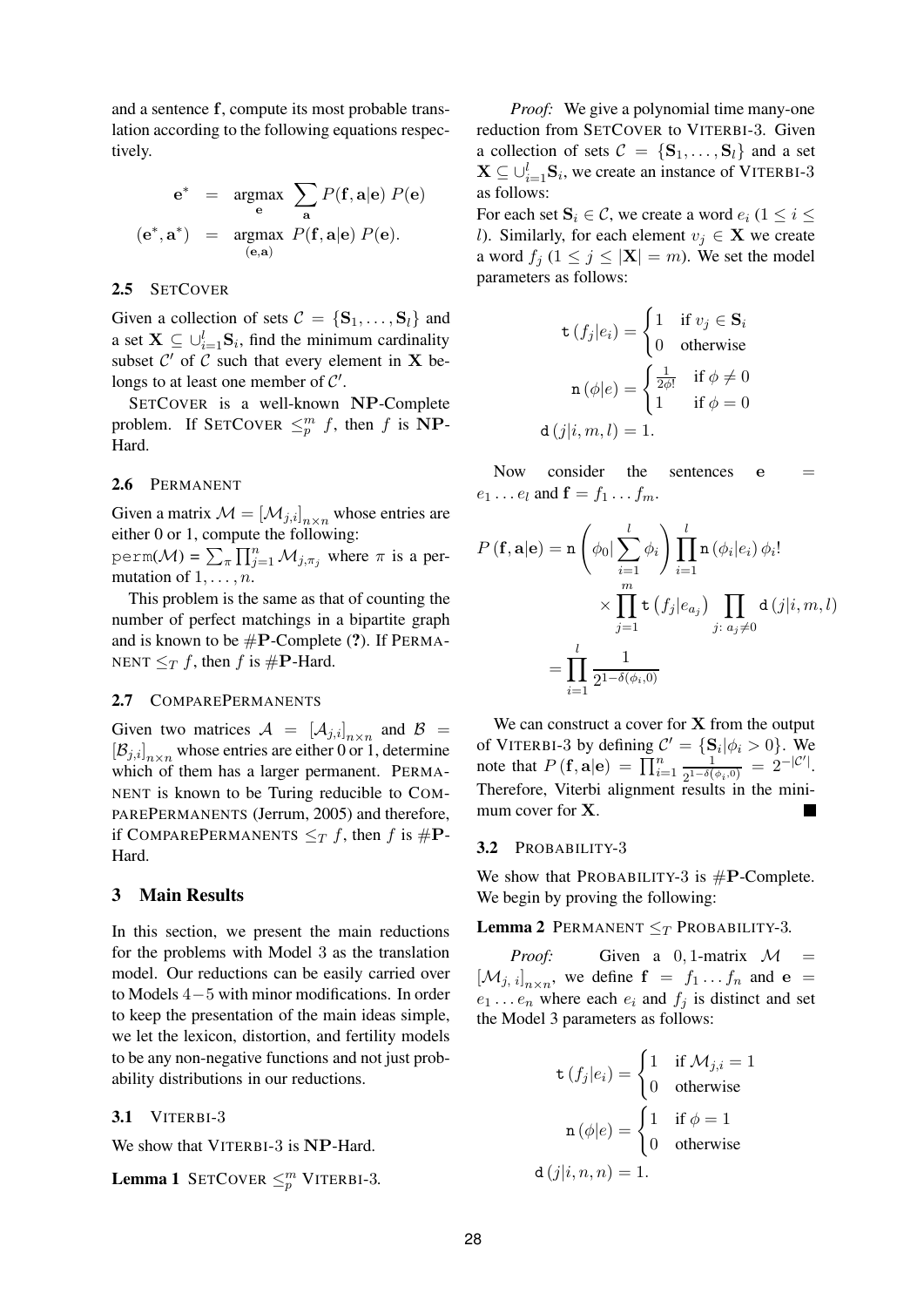and a sentence f, compute its most probable translation according to the following equations respectively.

$$
\mathbf{e}^* = \underset{\mathbf{e}}{\text{argmax}} \sum_{\mathbf{a}} P(\mathbf{f}, \mathbf{a} | \mathbf{e}) P(\mathbf{e})
$$

$$
(\mathbf{e}^*, \mathbf{a}^*) = \underset{(\mathbf{e}, \mathbf{a})}{\text{argmax}} P(\mathbf{f}, \mathbf{a} | \mathbf{e}) P(\mathbf{e}).
$$

#### **2.5** SETCOVER

Given a collection of sets  $C = \{S_1, \ldots, S_l\}$  and a set  $\mathbf{X} \subseteq \bigcup_{i=1}^{l} \mathbf{S}_i$ , find the minimum cardinality subset  $C'$  of  $\tilde{C}$  such that every element in  $X$  belongs to at least one member of  $C'$ .

SETCOVER is a well-known NP-Complete problem. If SETCOVER  $\leq_p^m f$ , then f is NP-Hard.

## **2.6** PERMANENT

Given a matrix  $\mathcal{M} = [\mathcal{M}_{j,i}]_{n \times n}$  whose entries are either 0 or 1, compute the following:

perm( $\mathcal{M}$ ) =  $\sum_{\pi} \prod_{j=1}^{n} M_{j,\pi_j}$  where  $\pi$  is a permutation of  $1, \ldots, n$ .

This problem is the same as that of counting the number of perfect matchings in a bipartite graph and is known to be #P-Complete (**?**). If PERMA-NENT  $\leq_T f$ , then f is #**P**-Hard.

#### **2.7** COMPAREPERMANENTS

Given two matrices  $\mathcal{A} = [\mathcal{A}_{j,i}]_{n \times n}$  and  $\mathcal{B} =$  $[\mathcal{B}_{j,i}]_{n\times n}$  whose entries are either 0 or 1, determine which of them has a larger permanent. PERMA-NENT is known to be Turing reducible to COM-PAREPERMANENTS (Jerrum, 2005) and therefore, if COMPAREPERMANENTS  $\leq_T f$ , then f is  $\#P$ -Hard.

#### **3 Main Results**

In this section, we present the main reductions for the problems with Model 3 as the translation model. Our reductions can be easily carried over to Models 4−5 with minor modifications. In order to keep the presentation of the main ideas simple, we let the lexicon, distortion, and fertility models to be any non-negative functions and not just probability distributions in our reductions.

#### **3.1** VITERBI-3

We show that VITERBI-3 is NP-Hard.

**Lemma 1** SETCOVER  $\leq_p^m$  VITERBI-3.

*Proof:* We give a polynomial time many-one reduction from SETCOVER to VITERBI-3. Given a collection of sets  $C = \{S_1, \ldots, S_l\}$  and a set  $\mathbf{X} \subseteq \bigcup_{i=1}^{l} \mathbf{S}_i$ , we create an instance of VITERBI-3 as follows:

For each set  $S_i \in \mathcal{C}$ , we create a word  $e_i$  ( $1 \leq i \leq$ l). Similarly, for each element  $v_i \in \mathbf{X}$  we create a word  $f_i$   $(1 \leq j \leq |\mathbf{X}| = m)$ . We set the model parameters as follows:

$$
\mathbf{t}(f_j|e_i) = \begin{cases} 1 & \text{if } v_j \in \mathbf{S}_i \\ 0 & \text{otherwise} \end{cases}
$$

$$
\mathbf{n}(\phi|e) = \begin{cases} \frac{1}{2\phi!} & \text{if } \phi \neq 0 \\ 1 & \text{if } \phi = 0 \end{cases}
$$

$$
\mathbf{d}(j|i, m, l) = 1.
$$

Now consider the sentences  $e =$  $e_1 \dots e_l$  and  $\mathbf{f} = f_1 \dots f_m$ .

$$
P(\mathbf{f}, \mathbf{a} | \mathbf{e}) = \mathbf{n} \left( \phi_0 | \sum_{i=1}^l \phi_i \right) \prod_{i=1}^l \mathbf{n} \left( \phi_i | e_i \right) \phi_i!
$$
  
\$\times \prod\_{j=1}^m \mathbf{t} \left( f\_j | e\_{a\_j} \right) \prod\_{j \colon a\_j \neq 0} \mathbf{d} \left( j | i, m, l \right) \$  
= \prod\_{i=1}^l \frac{1}{2^{1-\delta(\phi\_i, 0)}}

We can construct a cover for  $X$  from the output of VITERBI-3 by defining  $C' = \{S_i | \phi_i > 0\}$ . We note that  $P(\mathbf{f}, \mathbf{a}|\mathbf{e}) = \prod_{i=1}^{n} \frac{1}{2^{1-\delta(i)}}$  $\frac{1}{2^{1-\delta(\phi_i,0)}} = 2^{-|\mathcal{C}'|}.$ Therefore, Viterbi alignment results in the minimum cover for **X**.

#### **3.2** PROBABILITY-3

We show that PROBABILITY-3 is  $\#P$ -Complete. We begin by proving the following:

## **Lemma 2** PERMANENT  $\leq_T$  PROBABILITY-3.

*Proof:* Given a 0, 1-matrix  $\mathcal{M}$  =  $[\mathcal{M}_{j, i}]_{n \times n}$ , we define  $f = f_1 \dots f_n$  and  $e =$  $e_1 \ldots e_n$  where each  $e_i$  and  $f_i$  is distinct and set the Model 3 parameters as follows:

$$
\mathbf{t} (f_j|e_i) = \begin{cases} 1 & \text{if } \mathcal{M}_{j,i} = 1 \\ 0 & \text{otherwise} \end{cases}
$$

$$
\mathbf{n} (\phi|e) = \begin{cases} 1 & \text{if } \phi = 1 \\ 0 & \text{otherwise} \end{cases}
$$

$$
\mathbf{d} (j|i, n, n) = 1.
$$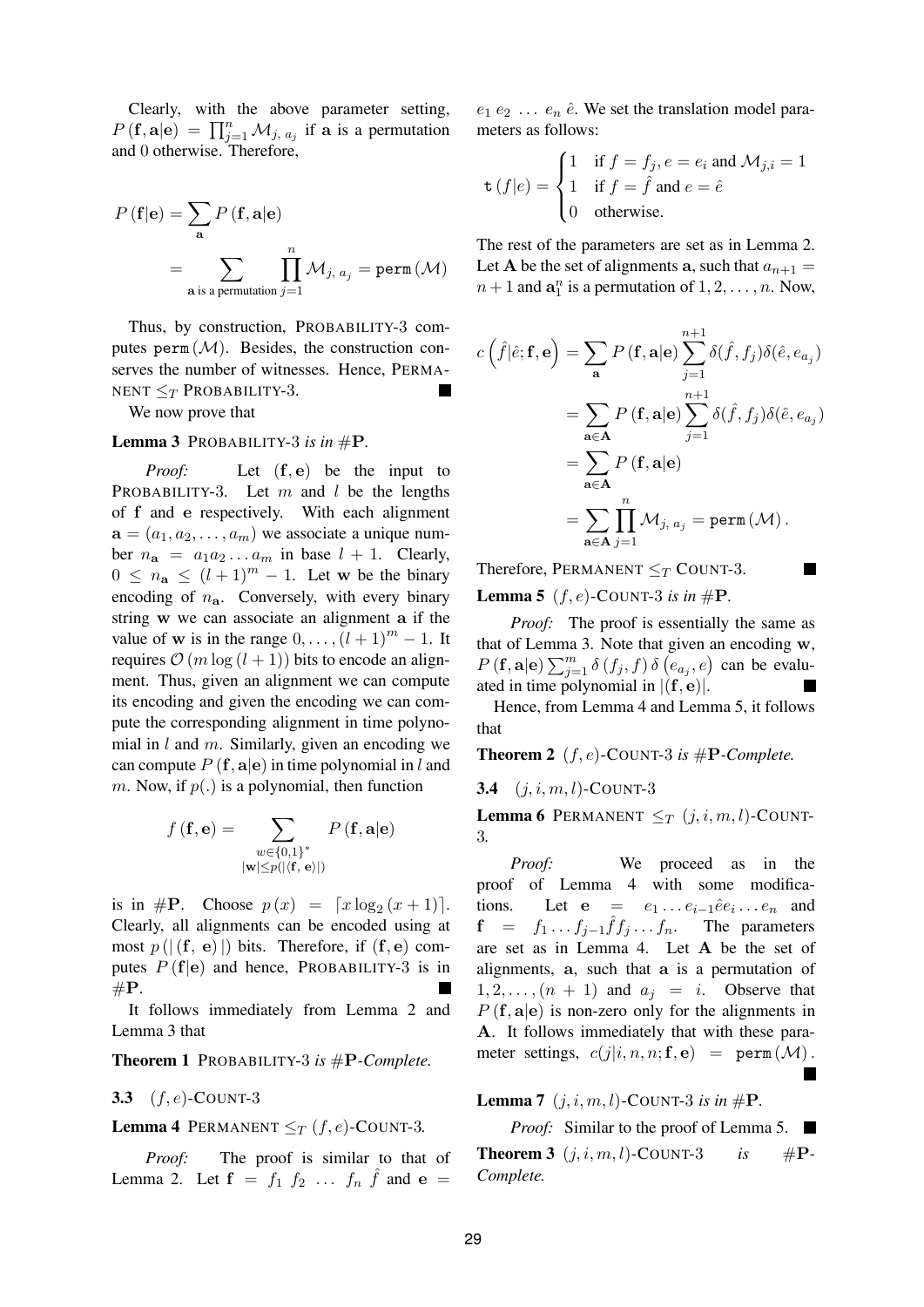Clearly, with the above parameter setting,  $P(\mathbf{f}, \mathbf{a}|\mathbf{e}) = \prod_{j=1}^{n} M_{j, a_j}$  if a is a permutation and 0 otherwise. Therefore,

$$
P(\mathbf{f}|\mathbf{e}) = \sum_{\mathbf{a}} P(\mathbf{f}, \mathbf{a}|\mathbf{e})
$$
  
= 
$$
\sum_{\mathbf{a} \text{ is a permutation } j=1} \prod_{j=1}^{n} \mathcal{M}_{j, a_j} = \text{perm}(\mathcal{M})
$$

Thus, by construction, PROBABILITY-3 computes  $perm(\mathcal{M})$ . Besides, the construction conserves the number of witnesses. Hence, PERMA-NENT  $\leq_T$  PROBABILITY-3.

We now prove that

## Lemma 3 PROBABILITY-3 is in  $\#P$ .

*Proof:* Let  $(f, e)$  be the input to PROBABILITY-3. Let m and l be the lengths of f and e respectively. With each alignment  $\mathbf{a} = (a_1, a_2, \dots, a_m)$  we associate a unique number  $n_a = a_1 a_2 \dots a_m$  in base  $l + 1$ . Clearly,  $0 \leq n_{\mathbf{a}} \leq (l+1)^m - 1$ . Let w be the binary encoding of  $n_a$ . Conversely, with every binary string w we can associate an alignment a if the value of w is in the range  $0, \ldots, (l + 1)^m - 1$ . It requires  $\mathcal{O}(m \log (l + 1))$  bits to encode an alignment. Thus, given an alignment we can compute its encoding and given the encoding we can compute the corresponding alignment in time polynomial in  $l$  and  $m$ . Similarly, given an encoding we can compute  $P({\bf f}, {\bf a} | {\bf e})$  in time polynomial in l and m. Now, if  $p(.)$  is a polynomial, then function

$$
f(\mathbf{f}, \mathbf{e}) = \sum_{\substack{w \in \{0,1\}^* \\ |\mathbf{w}| \le p(|\langle \mathbf{f}, \mathbf{e} \rangle|)}} P(\mathbf{f}, \mathbf{a} | \mathbf{e})
$$

is in #P. Choose  $p(x) = \lfloor x \log_2(x+1) \rfloor$ . Clearly, all alignments can be encoded using at most  $p(|(f, e)|)$  bits. Therefore, if  $(f, e)$  computes  $P(f|e)$  and hence, PROBABILITY-3 is in  $\#P.$ 

It follows immediately from Lemma 2 and Lemma 3 that

**Theorem 1** PROBABILITY-3 *is* #P*-Complete.*

#### **3.3** (f, e)-COUNT-3

#### **Lemma 4** PERMANENT  $\leq_T (f, e)$ -COUNT-3.

*Proof:* The proof is similar to that of Lemma 2. Let  $\mathbf{f} = f_1 f_2 \dots f_n \hat{f}$  and  $\mathbf{e} =$ 

 $e_1 e_2 \ldots e_n \hat{e}$ . We set the translation model parameters as follows:

$$
\mathbf{t}(f|e) = \begin{cases} 1 & \text{if } f = f_j, e = e_i \text{ and } \mathcal{M}_{j,i} = 1 \\ 1 & \text{if } f = \hat{f} \text{ and } e = \hat{e} \\ 0 & \text{otherwise.} \end{cases}
$$

The rest of the parameters are set as in Lemma 2. Let A be the set of alignments a, such that  $a_{n+1} =$  $n+1$  and  $\mathbf{a}_1^n$  is a permutation of  $1, 2, \ldots, n$ . Now,

$$
c(\hat{f}|\hat{e}; \mathbf{f}, \mathbf{e}) = \sum_{\mathbf{a}} P(\mathbf{f}, \mathbf{a} | \mathbf{e}) \sum_{j=1}^{n+1} \delta(\hat{f}, f_j) \delta(\hat{e}, e_{a_j})
$$
  
= 
$$
\sum_{\mathbf{a} \in \mathbf{A}} P(\mathbf{f}, \mathbf{a} | \mathbf{e}) \sum_{j=1}^{n+1} \delta(\hat{f}, f_j) \delta(\hat{e}, e_{a_j})
$$
  
= 
$$
\sum_{\mathbf{a} \in \mathbf{A}} P(\mathbf{f}, \mathbf{a} | \mathbf{e})
$$
  
= 
$$
\sum_{\mathbf{a} \in \mathbf{A}} \prod_{j=1}^{n} M_{j, a_j} = \text{perm}(\mathcal{M}).
$$

Therefore, PERMANENT  $\leq_T$  COUNT-3.

**Lemma 5** ( $f, e$ )-COUNT-3 is in  $#P$ .

*Proof:* The proof is essentially the same as that of Lemma 3. Note that given an encoding w,  $P(\mathbf{f}, \mathbf{a}|\mathbf{e}) \sum_{j=1}^{m} \delta(f_j, f) \delta(e_{a_j}, e)$  can be evaluated in time polynomial in  $|({\bf f},{\bf e})|$ .

 $\overline{\phantom{a}}$ 

Hence, from Lemma 4 and Lemma 5, it follows that

**Theorem 2** (*f*,*e*)-COUNT-3 *is*  $#P$ -*Complete.* 

**3.4**  $(j, i, m, l)$ -COUNT-3

**Lemma 6** PERMANENT  $\leq_T (j, i, m, l)$ -COUNT-3*.*

*Proof:* We proceed as in the proof of Lemma 4 with some modifications. Let  $e = e_1 \dots e_{i-1} \hat{e} e_i \dots e_n$  and  $f = f_1 \dots f_{j-1} \hat{f} f_j \dots f_n$ . The parameters are set as in Lemma 4. Let A be the set of alignments, a, such that a is a permutation of  $1, 2, \ldots, (n + 1)$  and  $a_i = i$ . Observe that  $P(f, a|e)$  is non-zero only for the alignments in A. It follows immediately that with these parameter settings,  $c(j|i, n, n; \mathbf{f}, \mathbf{e})$  = perm  $(\mathcal{M})$ .  $\overline{\phantom{a}}$ 

**Lemma 7**  $(j, i, m, l)$ -COUNT-3 *is in* #**P**.

*Proof:* Similar to the proof of Lemma 5. **Theorem 3**  $(j, i, m, l)$ -COUNT-3 *is* #P-*Complete.*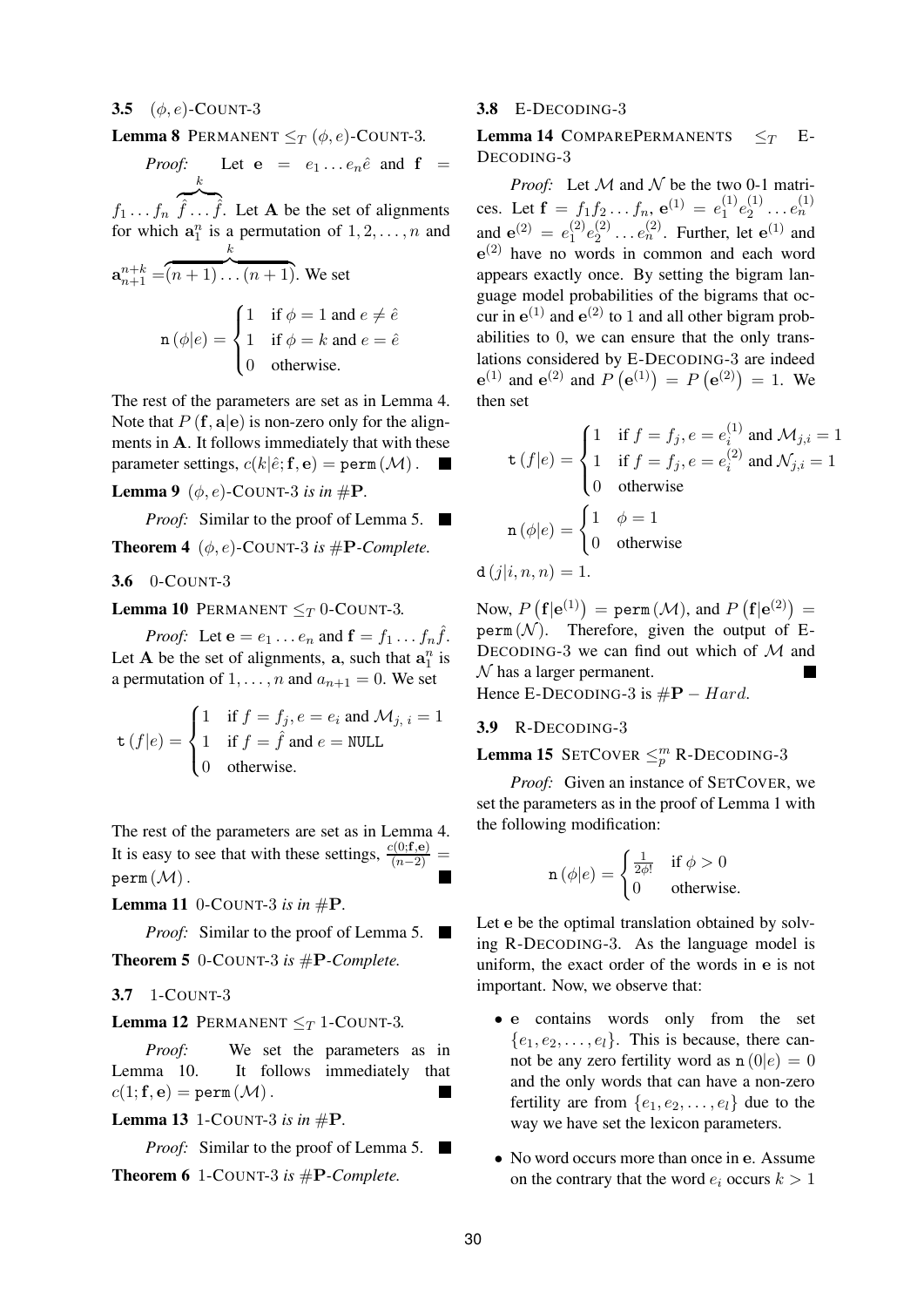#### **3.5** (φ, e)-COUNT-3

**Lemma 8** PERMANENT  $\leq_T (\phi, e)$ -COUNT-3.

*Proof:* Let  $e = e_1 \dots e_n \hat{e}$  and  $f =$ k

 $f_1 \ldots f_n$   $\widehat{\hat{f}} \ldots \widehat{\hat{f}}$ . Let **A** be the set of alignments for which  $a_1^n$  is a permutation of  $1, 2, \ldots, n$  and k

$$
\mathbf{a}_{n+1}^{n+k} = (n+1)\dots(n+1).
$$
 We set  
\n
$$
\mathbf{n}(\phi|e) = \begin{cases} 1 & \text{if } \phi = 1 \text{ and } e \neq \hat{e} \\ 1 & \text{if } \phi = k \text{ and } e = \hat{e} \\ 0 & \text{otherwise.} \end{cases}
$$

The rest of the parameters are set as in Lemma 4. Note that  $P({\bf f}, {\bf a} | {\bf e})$  is non-zero only for the alignments in A. It follows immediately that with these parameter settings,  $c(k|\hat{e}; \mathbf{f}, \mathbf{e}) = \texttt{perm}(\mathcal{M})$ .

**Lemma 9** ( $\phi$ ,  $e$ )-COUNT-3 *is in* #**P**.

*Proof:* Similar to the proof of Lemma 5. ■

**Theorem 4** ( $\phi$ , *e*)-COUNT-3 *is* #**P**-Complete.

**3.6** 0-COUNT-3

**Lemma 10** PERMANENT  $\leq_T 0$ -COUNT-3.

*Proof:* Let  $\mathbf{e} = e_1 \dots e_n$  and  $\mathbf{f} = f_1 \dots f_n \hat{f}$ . Let A be the set of alignments, a, such that  $a_1^n$  is a permutation of  $1, \ldots, n$  and  $a_{n+1} = 0$ . We set

$$
\mathbf{t}(f|e) = \begin{cases} 1 & \text{if } f = f_j, e = e_i \text{ and } \mathcal{M}_{j, i} = 1 \\ 1 & \text{if } f = \hat{f} \text{ and } e = \text{NULL} \\ 0 & \text{otherwise.} \end{cases}
$$

The rest of the parameters are set as in Lemma 4. It is easy to see that with these settings,  $\frac{c(0; \mathbf{f}, \mathbf{e})}{(n-2)}$  =  $perm(M)$ .

**Lemma 11** 0-COUNT-3 is in  $#P$ .

*Proof:* Similar to the proof of Lemma 5. ■

**Theorem 5** 0-COUNT-3 *is* #P*-Complete.*

**3.7** 1-COUNT-3

#### **Lemma 12** PERMANENT  $\leq_T 1$ -COUNT-3.

*Proof:* We set the parameters as in Lemma 10. It follows immediately that  $c(1; \mathbf{f}, \mathbf{e}) = \texttt{perm}\left(\mathcal{M}\right).$ 

## **Lemma 13** 1-COUNT-3 *is in* #P*.*

*Proof:* Similar to the proof of Lemma 5. ■

**Theorem 6** 1-COUNT-3 *is* #P*-Complete.*

#### **3.8** E-DECODING-3

**Lemma 14** COMPAREPERMANENTS  $\leq_T$  E-DECODING-3

*Proof:* Let  $M$  and  $N$  be the two 0-1 matrices. Let  $\mathbf{f} = f_1 f_2 \dots f_n$ ,  $\mathbf{e}^{(1)} = e_1^{(1)}$  $e_1^{(1)}e_2^{(1)}$  $e_2^{(1)} \ldots e_n^{(1)}$ and  $e^{(2)} = e_1^{(2)}$  $\epsilon_1^{(2)}\epsilon_2^{(2)}$  $e_2^{(2)} \dots e_n^{(2)}$ . Further, let  $e^{(1)}$  and e (2) have no words in common and each word appears exactly once. By setting the bigram language model probabilities of the bigrams that occur in  $e^{(1)}$  and  $e^{(2)}$  to 1 and all other bigram probabilities to 0, we can ensure that the only translations considered by E-DECODING-3 are indeed  $e^{(1)}$  and  $e^{(2)}$  and  $P(e^{(1)}) = P(e^{(2)}) = 1$ . We then set

$$
\mathbf{t}(f|e) = \begin{cases} 1 & \text{if } f = f_j, e = e_i^{(1)} \text{ and } \mathcal{M}_{j,i} = 1 \\ 1 & \text{if } f = f_j, e = e_i^{(2)} \text{ and } \mathcal{N}_{j,i} = 1 \\ 0 & \text{otherwise} \end{cases}
$$

$$
\mathbf{n}(\phi|e) = \begin{cases} 1 & \phi = 1 \\ 0 & \text{otherwise} \end{cases}
$$

 $d(i|i, n, n) = 1.$ 

Now,  $P(\mathbf{f}|\mathbf{e}^{(1)}) = \text{perm}(\mathcal{M})$ , and  $P(\mathbf{f}|\mathbf{e}^{(2)}) =$ perm  $(N)$ . Therefore, given the output of E-DECODING-3 we can find out which of  $M$  and  $N$  has a larger permanent. Hence E-DECODING-3 is  $\#P - Hard$ .

#### **3.9** R-DECODING-3

# **Lemma 15** SETCOVER  $\leq_p^m$  R-DECODING-3

*Proof:* Given an instance of SETCOVER, we set the parameters as in the proof of Lemma 1 with the following modification:

$$
\mathbf{n}\left(\phi|e\right) = \begin{cases} \frac{1}{2\phi!} & \text{if } \phi > 0\\ 0 & \text{otherwise.} \end{cases}
$$

Let e be the optimal translation obtained by solving R-DECODING-3. As the language model is uniform, the exact order of the words in e is not important. Now, we observe that:

- e contains words only from the set  ${e_1, e_2, \ldots, e_l}$ . This is because, there cannot be any zero fertility word as  $n(0|e) = 0$ and the only words that can have a non-zero fertility are from  $\{e_1, e_2, \ldots, e_l\}$  due to the way we have set the lexicon parameters.
- No word occurs more than once in e. Assume on the contrary that the word  $e_i$  occurs  $k > 1$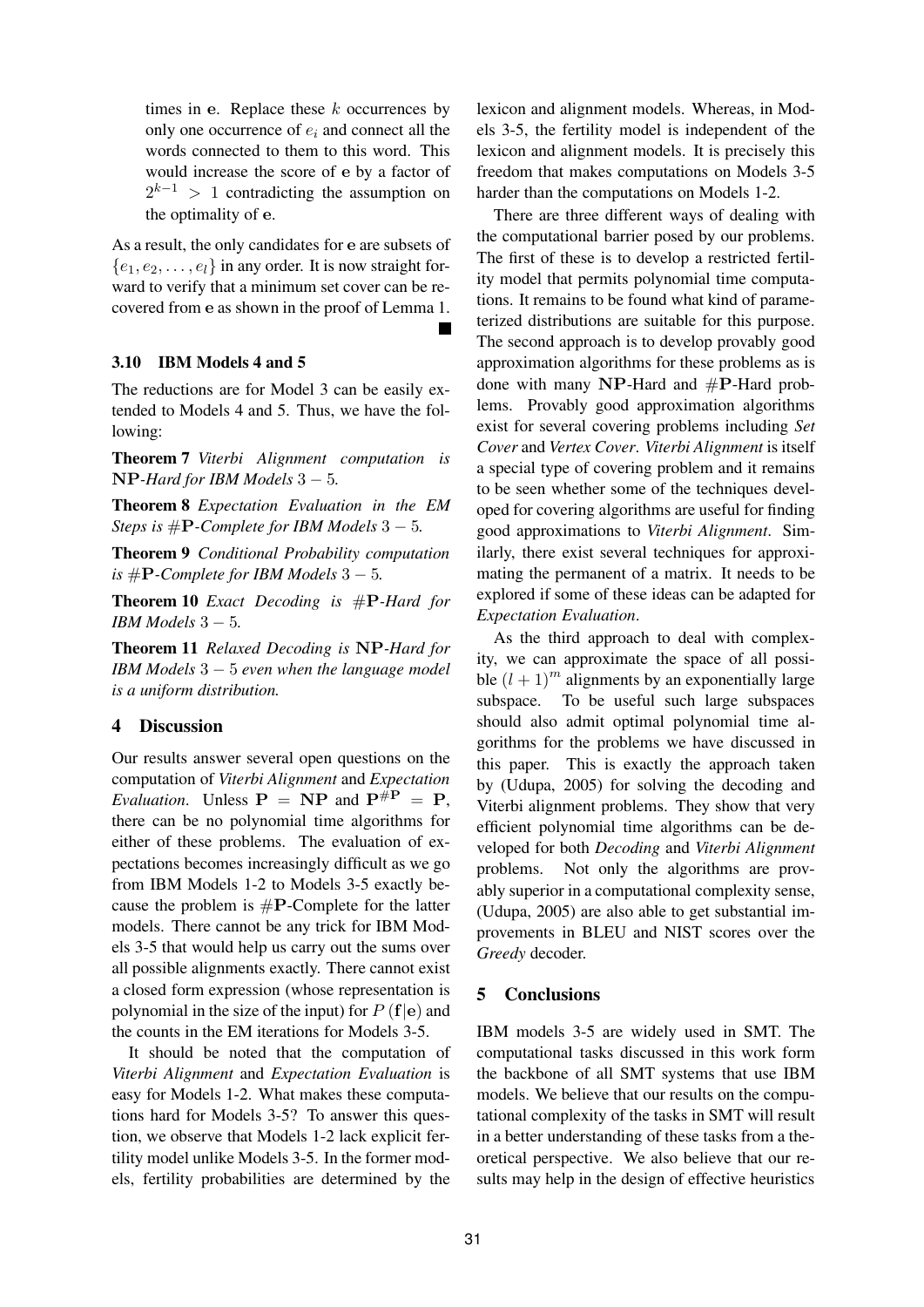times in e. Replace these  $k$  occurrences by only one occurrence of  $e_i$  and connect all the words connected to them to this word. This would increase the score of e by a factor of  $2^{k-1} > 1$  contradicting the assumption on the optimality of e.

As a result, the only candidates for e are subsets of  ${e_1, e_2, \ldots, e_l}$  in any order. It is now straight forward to verify that a minimum set cover can be recovered from e as shown in the proof of Lemma 1.

## **3.10 IBM Models 4 and 5**

The reductions are for Model 3 can be easily extended to Models 4 and 5. Thus, we have the following:

**Theorem 7** *Viterbi Alignment computation is* NP*-Hard for IBM Models* 3 − 5*.*

**Theorem 8** *Expectation Evaluation in the EM Steps is* #P*-Complete for IBM Models* 3 − 5*.*

**Theorem 9** *Conditional Probability computation is*  $#P$ *-Complete for IBM Models*  $3 - 5$ *.* 

**Theorem 10** *Exact Decoding is* #P*-Hard for IBM Models* 3 − 5*.*

**Theorem 11** *Relaxed Decoding is* NP*-Hard for IBM Models* 3 − 5 *even when the language model is a uniform distribution.*

## **4 Discussion**

Our results answer several open questions on the computation of *Viterbi Alignment* and *Expectation Evaluation*. Unless  $P = NP$  and  $P^{\#P} = P$ , there can be no polynomial time algorithms for either of these problems. The evaluation of expectations becomes increasingly difficult as we go from IBM Models 1-2 to Models 3-5 exactly because the problem is  $\#P$ -Complete for the latter models. There cannot be any trick for IBM Models 3-5 that would help us carry out the sums over all possible alignments exactly. There cannot exist a closed form expression (whose representation is polynomial in the size of the input) for  $P({\bf f}|{\bf e})$  and the counts in the EM iterations for Models 3-5.

It should be noted that the computation of *Viterbi Alignment* and *Expectation Evaluation* is easy for Models 1-2. What makes these computations hard for Models 3-5? To answer this question, we observe that Models 1-2 lack explicit fertility model unlike Models 3-5. In the former models, fertility probabilities are determined by the

lexicon and alignment models. Whereas, in Models 3-5, the fertility model is independent of the lexicon and alignment models. It is precisely this freedom that makes computations on Models 3-5 harder than the computations on Models 1-2.

There are three different ways of dealing with the computational barrier posed by our problems. The first of these is to develop a restricted fertility model that permits polynomial time computations. It remains to be found what kind of parameterized distributions are suitable for this purpose. The second approach is to develop provably good approximation algorithms for these problems as is done with many NP-Hard and #P-Hard problems. Provably good approximation algorithms exist for several covering problems including *Set Cover* and *Vertex Cover*. *Viterbi Alignment* is itself a special type of covering problem and it remains to be seen whether some of the techniques developed for covering algorithms are useful for finding good approximations to *Viterbi Alignment*. Similarly, there exist several techniques for approximating the permanent of a matrix. It needs to be explored if some of these ideas can be adapted for *Expectation Evaluation*.

As the third approach to deal with complexity, we can approximate the space of all possible  $(l + 1)^m$  alignments by an exponentially large subspace. To be useful such large subspaces should also admit optimal polynomial time algorithms for the problems we have discussed in this paper. This is exactly the approach taken by (Udupa, 2005) for solving the decoding and Viterbi alignment problems. They show that very efficient polynomial time algorithms can be developed for both *Decoding* and *Viterbi Alignment* problems. Not only the algorithms are provably superior in a computational complexity sense, (Udupa, 2005) are also able to get substantial improvements in BLEU and NIST scores over the *Greedy* decoder.

## **5 Conclusions**

IBM models 3-5 are widely used in SMT. The computational tasks discussed in this work form the backbone of all SMT systems that use IBM models. We believe that our results on the computational complexity of the tasks in SMT will result in a better understanding of these tasks from a theoretical perspective. We also believe that our results may help in the design of effective heuristics